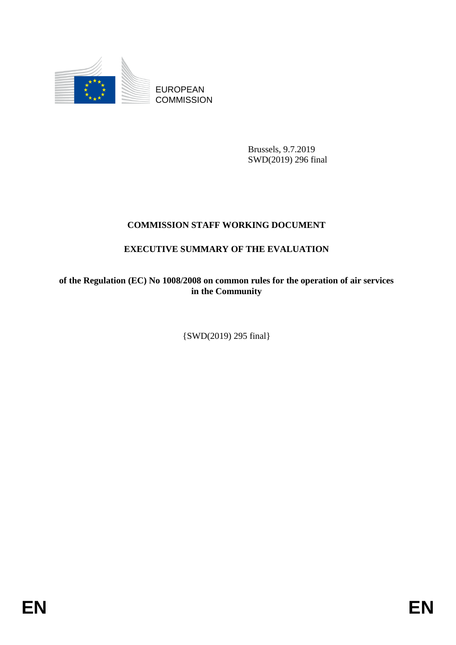

Brussels, 9.7.2019 SWD(2019) 296 final

# **COMMISSION STAFF WORKING DOCUMENT**

# **EXECUTIVE SUMMARY OF THE EVALUATION**

**of the Regulation (EC) No 1008/2008 on common rules for the operation of air services in the Community** 

{SWD(2019) 295 final}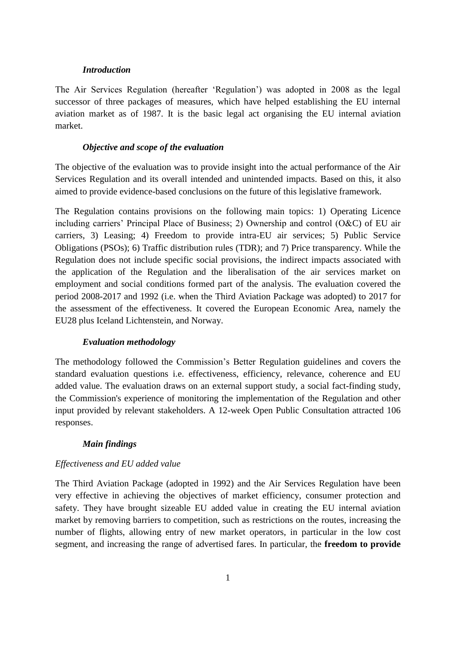#### *Introduction*

The Air Services Regulation (hereafter 'Regulation') was adopted in 2008 as the legal successor of three packages of measures, which have helped establishing the EU internal aviation market as of 1987. It is the basic legal act organising the EU internal aviation market.

### *Objective and scope of the evaluation*

The objective of the evaluation was to provide insight into the actual performance of the Air Services Regulation and its overall intended and unintended impacts. Based on this, it also aimed to provide evidence-based conclusions on the future of this legislative framework.

The Regulation contains provisions on the following main topics: 1) Operating Licence including carriers' Principal Place of Business; 2) Ownership and control (O&C) of EU air carriers, 3) Leasing; 4) Freedom to provide intra-EU air services; 5) Public Service Obligations (PSOs); 6) Traffic distribution rules (TDR); and 7) Price transparency. While the Regulation does not include specific social provisions, the indirect impacts associated with the application of the Regulation and the liberalisation of the air services market on employment and social conditions formed part of the analysis. The evaluation covered the period 2008-2017 and 1992 (i.e. when the Third Aviation Package was adopted) to 2017 for the assessment of the effectiveness. It covered the European Economic Area, namely the EU28 plus Iceland Lichtenstein, and Norway.

### *Evaluation methodology*

The methodology followed the Commission's Better Regulation guidelines and covers the standard evaluation questions i.e. effectiveness, efficiency, relevance, coherence and EU added value. The evaluation draws on an external support study, a social fact-finding study, the Commission's experience of monitoring the implementation of the Regulation and other input provided by relevant stakeholders. A 12-week Open Public Consultation attracted 106 responses.

# *Main findings*

#### *Effectiveness and EU added value*

The Third Aviation Package (adopted in 1992) and the Air Services Regulation have been very effective in achieving the objectives of market efficiency, consumer protection and safety. They have brought sizeable EU added value in creating the EU internal aviation market by removing barriers to competition, such as restrictions on the routes, increasing the number of flights, allowing entry of new market operators, in particular in the low cost segment, and increasing the range of advertised fares. In particular, the **freedom to provide**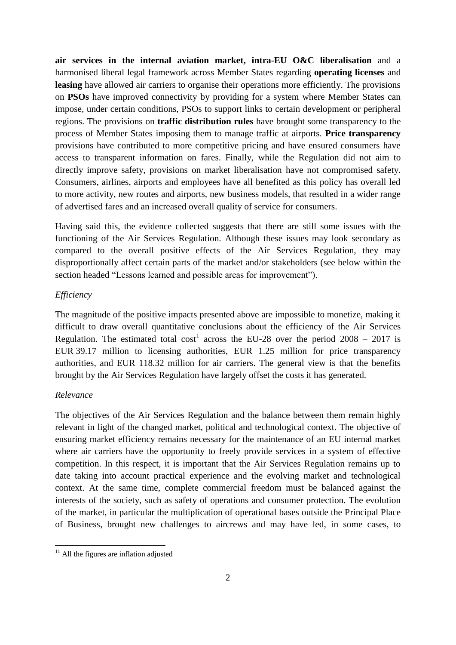**air services in the internal aviation market, intra-EU O&C liberalisation** and a harmonised liberal legal framework across Member States regarding **operating licenses** and **leasing** have allowed air carriers to organise their operations more efficiently. The provisions on **PSOs** have improved connectivity by providing for a system where Member States can impose, under certain conditions, PSOs to support links to certain development or peripheral regions. The provisions on **traffic distribution rules** have brought some transparency to the process of Member States imposing them to manage traffic at airports. **Price transparency** provisions have contributed to more competitive pricing and have ensured consumers have access to transparent information on fares. Finally, while the Regulation did not aim to directly improve safety, provisions on market liberalisation have not compromised safety. Consumers, airlines, airports and employees have all benefited as this policy has overall led to more activity, new routes and airports, new business models, that resulted in a wider range of advertised fares and an increased overall quality of service for consumers.

Having said this, the evidence collected suggests that there are still some issues with the functioning of the Air Services Regulation. Although these issues may look secondary as compared to the overall positive effects of the Air Services Regulation, they may disproportionally affect certain parts of the market and/or stakeholders (see below within the section headed "Lessons learned and possible areas for improvement").

## *Efficiency*

The magnitude of the positive impacts presented above are impossible to monetize, making it difficult to draw overall quantitative conclusions about the efficiency of the Air Services Regulation. The estimated total cost<sup>1</sup> across the EU-28 over the period 2008 – 2017 is EUR 39.17 million to licensing authorities, EUR 1.25 million for price transparency authorities, and EUR 118.32 million for air carriers. The general view is that the benefits brought by the Air Services Regulation have largely offset the costs it has generated.

## *Relevance*

**.** 

The objectives of the Air Services Regulation and the balance between them remain highly relevant in light of the changed market, political and technological context. The objective of ensuring market efficiency remains necessary for the maintenance of an EU internal market where air carriers have the opportunity to freely provide services in a system of effective competition. In this respect, it is important that the Air Services Regulation remains up to date taking into account practical experience and the evolving market and technological context. At the same time, complete commercial freedom must be balanced against the interests of the society, such as safety of operations and consumer protection. The evolution of the market, in particular the multiplication of operational bases outside the Principal Place of Business, brought new challenges to aircrews and may have led, in some cases, to

 $11$  All the figures are inflation adjusted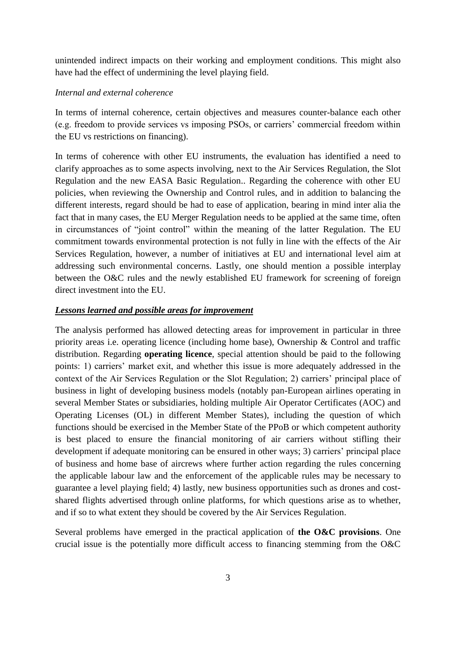unintended indirect impacts on their working and employment conditions. This might also have had the effect of undermining the level playing field.

## *Internal and external coherence*

In terms of internal coherence, certain objectives and measures counter-balance each other (e.g. freedom to provide services vs imposing PSOs, or carriers' commercial freedom within the EU vs restrictions on financing).

In terms of coherence with other EU instruments, the evaluation has identified a need to clarify approaches as to some aspects involving, next to the Air Services Regulation, the Slot Regulation and the new EASA Basic Regulation.. Regarding the coherence with other EU policies, when reviewing the Ownership and Control rules, and in addition to balancing the different interests, regard should be had to ease of application, bearing in mind inter alia the fact that in many cases, the EU Merger Regulation needs to be applied at the same time, often in circumstances of "joint control" within the meaning of the latter Regulation. The EU commitment towards environmental protection is not fully in line with the effects of the Air Services Regulation, however, a number of initiatives at EU and international level aim at addressing such environmental concerns. Lastly, one should mention a possible interplay between the O&C rules and the newly established EU framework for screening of foreign direct investment into the EU.

# *Lessons learned and possible areas for improvement*

The analysis performed has allowed detecting areas for improvement in particular in three priority areas i.e. operating licence (including home base), Ownership & Control and traffic distribution. Regarding **operating licence**, special attention should be paid to the following points: 1) carriers' market exit, and whether this issue is more adequately addressed in the context of the Air Services Regulation or the Slot Regulation; 2) carriers' principal place of business in light of developing business models (notably pan-European airlines operating in several Member States or subsidiaries, holding multiple Air Operator Certificates (AOC) and Operating Licenses (OL) in different Member States), including the question of which functions should be exercised in the Member State of the PPoB or which competent authority is best placed to ensure the financial monitoring of air carriers without stifling their development if adequate monitoring can be ensured in other ways; 3) carriers' principal place of business and home base of aircrews where further action regarding the rules concerning the applicable labour law and the enforcement of the applicable rules may be necessary to guarantee a level playing field; 4) lastly, new business opportunities such as drones and costshared flights advertised through online platforms, for which questions arise as to whether, and if so to what extent they should be covered by the Air Services Regulation.

Several problems have emerged in the practical application of **the O&C provisions**. One crucial issue is the potentially more difficult access to financing stemming from the O&C